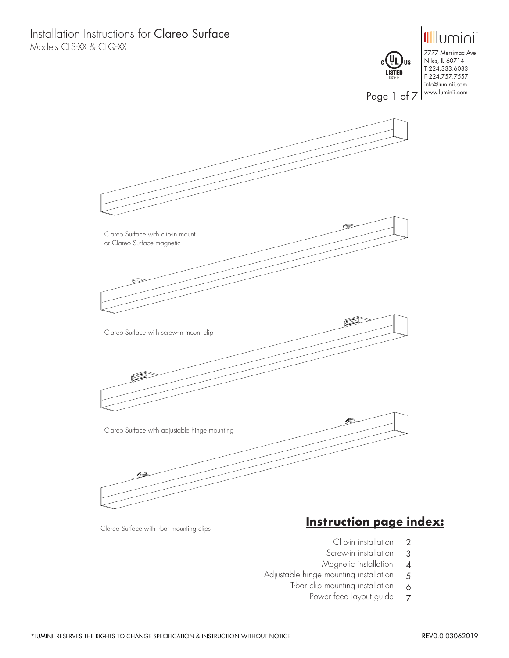Installation Instructions for Clareo Surface Models CLS-XX & CLQ-XX



Clareo Surface with t-bar mounting clips

## **Instruction page index:**

- Clip-in installation 2
- Screw-in installation 3
- Magnetic installation 4

6

- Adjustable hinge mounting installation 5
	- T-bar clip mounting installation
		- Power feed layout guide 7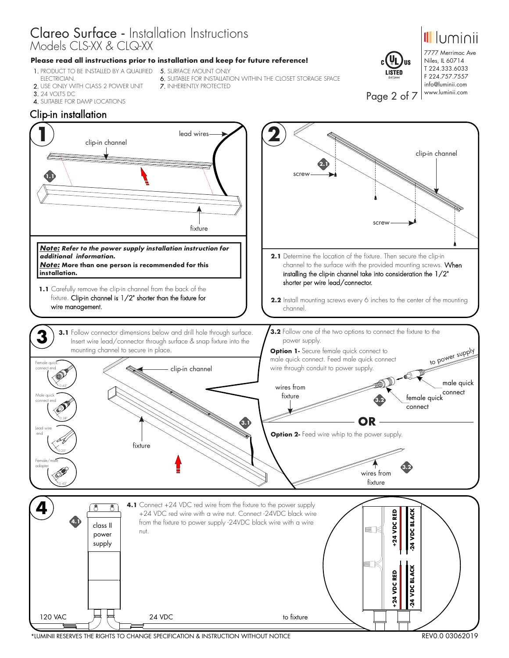### **Please read all instructions prior to installation and keep for future reference!**

- **1.** PRODUCT TO BE INSTALLED BY A QUALIFIED **5.** SURFACE MOUNT ONLY ELECTRICIAN.
- 2. USE ONLY WITH CLASS 2 POWER UNIT
- 3.24 VOLTS DC
	-
- 4.SUITABLE FOR DAMP LOCATIONS
- 
- 6.SUITABLE FOR INSTALLATION WITHIN THE CLOSET STORAGE SPACE 7.INHERENTLY PROTECTED
- 
- -



7777 Merrimac Ave Niles, IL 60714 T 224.333.6033 F 224.757.7557 info@luminii.com www.luminii.com

<u>Illuminii</u>

Page 2 of 7



\*LUMINII RESERVES THE RIGHTS TO CHANGE SPECIFICATION & INSTRUCTION WITHOUT NOTICE REV0.0 03062019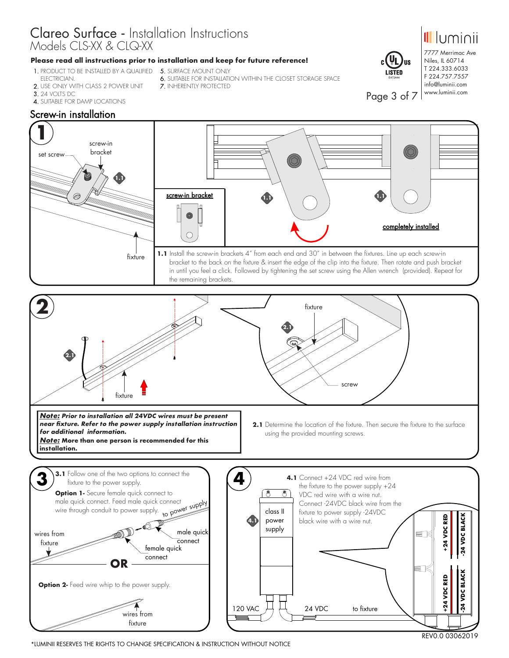## **Please read all instructions prior to installation and keep for future reference!**

7.INHERENTLY PROTECTED

- **1.** PRODUCT TO BE INSTALLED BY A QUALIFIED **5.** SURFACE MOUNT ONLY ELECTRICIAN.
- 2. USE ONLY WITH CLASS 2 POWER UNIT
- 3.24 VOLTS DC
- 4.SUITABLE FOR DAMP LOCATIONS

## Screw-in installation



6.SUITABLE FOR INSTALLATION WITHIN THE CLOSET STORAGE SPACE



7777 Merrimac Ave Niles, IL 60714 T 224.333.6033 F 224.757.7557 info@luminii.com www.luminii.com

Page 3 of 7

E472444

**US**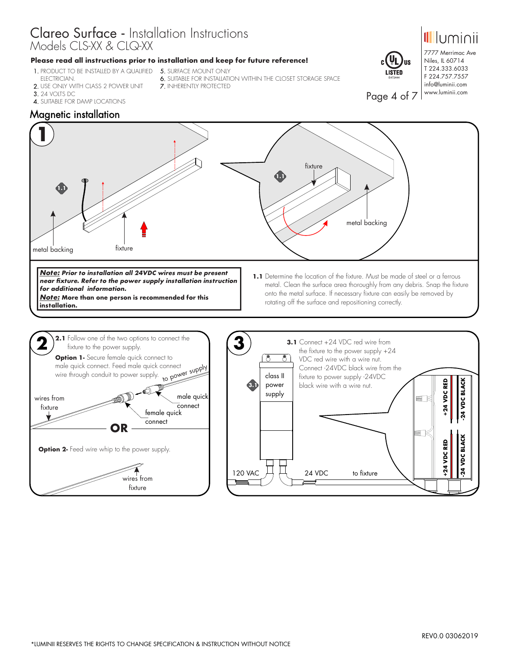### **Please read all instructions prior to installation and keep for future reference!**

- **1.** PRODUCT TO BE INSTALLED BY A QUALIFIED **5.** SURFACE MOUNT ONLY ELECTRICIAN.
- 2. USE ONLY WITH CLASS 2 POWER UNIT
- 
- 
- 
- 6.SUITABLE FOR INSTALLATION WITHIN THE CLOSET STORAGE SPACE 7.INHERENTLY PROTECTED
- 
- 3.24 VOLTS DC
- 4.SUITABLE FOR DAMP LOCATIONS



7777 Merrimac Ave Niles, IL 60714 T 224.333.6033 F 224.757.7557 info@luminii.com www.luminii.com

*<u>Illuminii</u>* 

Page 4 of 7

E472444

## Magnetic installation

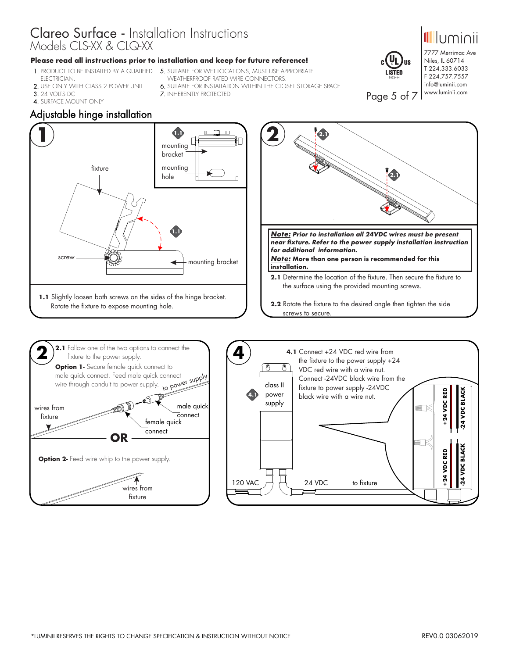#### **Please read all instructions prior to installation and keep for future reference!**

- **1.** PRODUCT TO BE INSTALLED BY A QUALIFIED **5.** SUITABLE FOR WET LOCATIONS, MUST USE APPROPRIATE ELECTRICIAN.
- 2. USE ONLY WITH CLASS 2 POWER UNIT
- 3.24 VOLTS DC
- 4.SURFACE MOUNT ONLY
- WEATHERPROOF RATED WIRE CONNECTORS.
- 6.SUITABLE FOR INSTALLATION WITHIN THE CLOSET STORAGE SPACE
- 7.INHERENTLY PROTECTED



Page 5 of 7

E472444

7777 Merrimac Ave Niles, IL 60714 T 224.333.6033 F 224.757.7557 info@luminii.com www.luminii.com

- 
- 



120 VAC  $\begin{array}{ccc} \uparrow \uparrow \downarrow & 24 \text{ VDC} \end{array}$ 

to fixture

wires from fixture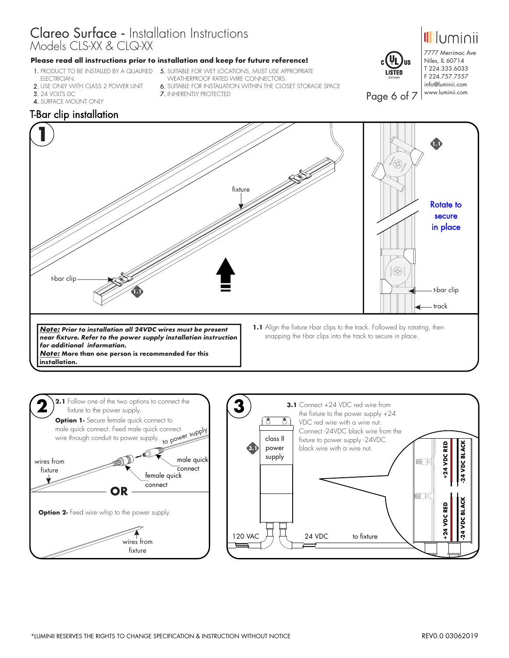## **Please read all instructions prior to installation and keep for future reference!**

- ELECTRICIAN.
- 2. USE ONLY WITH CLASS 2 POWER UNIT
- 3.24 VOLTS DC
- 

**installation.**

- **1.** PRODUCT TO BE INSTALLED BY A QUALIFIED **5.** SUITABLE FOR WET LOCATIONS, MUST USE APPROPRIATE WEATHERPROOF RATED WIRE CONNECTORS.
	- 6.SUITABLE FOR INSTALLATION WITHIN THE CLOSET STORAGE SPACE
	- 7.INHERENTLY PROTECTED



7777 Merrimac Ave Niles, IL 60714 T 224.333.6033 F 224.757.7557 info@luminii.com www.luminii.com

*II* Iuminii

Page 6 of 7 4.SURFACE MOUNT ONLY T-Bar clip installation **1 1.1** B fixture Rotate to secure in place  $\mathbb{R}$ t-bar clip t-bar clip **1.1** track1.1 Align the fixture t-bar clips to the track. Followed by rotating, then

*Note: Prior to installation all 24VDC wires must be present near fixture. Refer to the power supply installation instruction for additional information. Note:* **More than one person is recommended for this** 

snapping the t-bar clips into the track to secure in place.